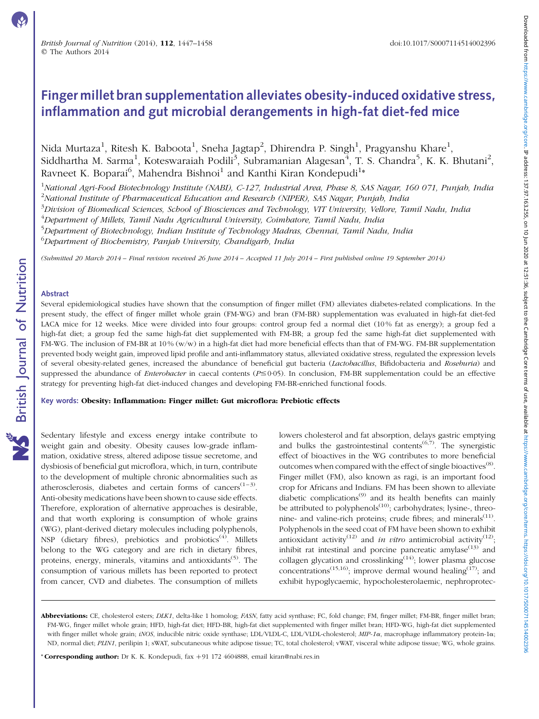# Finger millet bran supplementation alleviates obesity-induced oxidative stress, inflammation and gut microbial derangements in high-fat diet-fed mice

Nida Murtaza<sup>1</sup>, Ritesh K. Baboota<sup>1</sup>, Sneha Jagtap<sup>2</sup>, Dhirendra P. Singh<sup>1</sup>, Pragyanshu Khare<sup>1</sup>, Siddhartha M. Sarma<sup>1</sup>, Koteswaraiah Podili<sup>3</sup>, Subramanian Alagesan<sup>4</sup>, T. S. Chandra<sup>5</sup>, K. K. Bhutani<sup>2</sup>, Ravneet K. Boparai<sup>6</sup>, Mahendra Bishnoi<sup>1</sup> and Kanthi Kiran Kondepudi<sup>1</sup>\*

<sup>1</sup>National Agri-Food Biotechnology Institute (NABI), C-127, Industrial Area, Phase 8, SAS Nagar, 160 071, Punjab, India <sup>2</sup>National Institute of Pharmaceutical Education and Research (NIPER), SAS Nagar, Punjab, India

<sup>3</sup>Division of Biomedical Sciences, School of Biosciences and Technology, VIT University, Vellore, Tamil Nadu, India

<sup>4</sup>Department of Millets, Tamil Nadu Agricultural University, Coimbatore, Tamil Nadu, India

<sup>5</sup>Department of Biotechnology, Indian Institute of Technology Madras, Chennai, Tamil Nadu, India

 $^6$ Department of Biochemistry, Panjab University, Chandigarh, India

(Submitted 20 March 2014 – Final revision received 26 June 2014 – Accepted 11 July 2014 – First published online 19 September 2014)

#### Abstract

Several epidemiological studies have shown that the consumption of finger millet (FM) alleviates diabetes-related complications. In the present study, the effect of finger millet whole grain (FM-WG) and bran (FM-BR) supplementation was evaluated in high-fat diet-fed LACA mice for 12 weeks. Mice were divided into four groups: control group fed a normal diet (10 % fat as energy); a group fed a high-fat diet; a group fed the same high-fat diet supplemented with FM-BR; a group fed the same high-fat diet supplemented with FM-WG. The inclusion of FM-BR at 10 % (w/w) in a high-fat diet had more beneficial effects than that of FM-WG. FM-BR supplementation prevented body weight gain, improved lipid profile and anti-inflammatory status, alleviated oxidative stress, regulated the expression levels of several obesity-related genes, increased the abundance of beneficial gut bacteria (Lactobacillus, Bifidobacteria and Roseburia) and suppressed the abundance of *Enterobacter* in caecal contents ( $P \le 0.05$ ). In conclusion, FM-BR supplementation could be an effective strategy for preventing high-fat diet-induced changes and developing FM-BR-enriched functional foods.

Key words: Obesity: Inflammation: Finger millet: Gut microflora: Prebiotic effects

Sedentary lifestyle and excess energy intake contribute to weight gain and obesity. Obesity causes low-grade inflammation, oxidative stress, altered adipose tissue secretome, and dysbiosis of beneficial gut microflora, which, in turn, contribute to the development of multiple chronic abnormalities such as atherosclerosis, diabetes and certain forms of cancers<sup> $(1-3)$ </sup>. Anti-obesity medications have been shown to cause side effects. Therefore, exploration of alternative approaches is desirable, and that worth exploring is consumption of whole grains (WG), plant-derived dietary molecules including polyphenols, NSP (dietary fibres), prebiotics and probiotics<sup> $(4)$ </sup>. Millets belong to the WG category and are rich in dietary fibres, proteins, energy, minerals, vitamins and antioxidants<sup>(5)</sup>. The consumption of various millets has been reported to protect from cancer, CVD and diabetes. The consumption of millets

lowers cholesterol and fat absorption, delays gastric emptying and bulks the gastrointestinal contents<sup> $(6,7)$ </sup>. The synergistic effect of bioactives in the WG contributes to more beneficial outcomes when compared with the effect of single bioactives<sup> $(8)$ </sup>. Finger millet (FM), also known as ragi, is an important food crop for Africans and Indians. FM has been shown to alleviate diabetic complications<sup>(9)</sup> and its health benefits can mainly be attributed to polyphenols $^{(10)}$ ; carbohydrates; lysine-, threonine- and valine-rich proteins; crude fibres; and minerals $(11)$ . Polyphenols in the seed coat of FM have been shown to exhibit antioxidant activity<sup>(12)</sup> and *in vitro* antimicrobial activity<sup>(12)</sup>; inhibit rat intestinal and porcine pancreatic amylase $(13)$  and collagen glycation and crosslinking<sup> $(14)$ </sup>; lower plasma glucose concentrations<sup>(15,16)</sup>; improve dermal wound healing<sup>(17)</sup>; and exhibit hypoglycaemic, hypocholesterolaemic, nephroprotec-

\* Corresponding author: Dr K. K. Kondepudi, fax  $+91$  172 4604888, email kiran@nabi.res.in

Abbreviations: CE, cholesterol esters; DLK1, delta-like 1 homolog; FASN, fatty acid synthase; FC, fold change; FM, finger millet; FM-BR, finger millet bran; FM-WG, finger millet whole grain; HFD, high-fat diet; HFD-BR, high-fat diet supplemented with finger millet bran; HFD-WG, high-fat diet supplemented with finger millet whole grain; *iNOS*, inducible nitric oxide synthase; LDL/VLDL-C, LDL/VLDL-cholesterol;  $MIP-1\alpha$ , macrophage inflammatory protein-1 $\alpha$ ; ND, normal diet; PLIN1, perilipin 1; sWAT, subcutaneous white adipose tissue; TC, total cholesterol; vWAT, visceral white adipose tissue; WG, whole grains.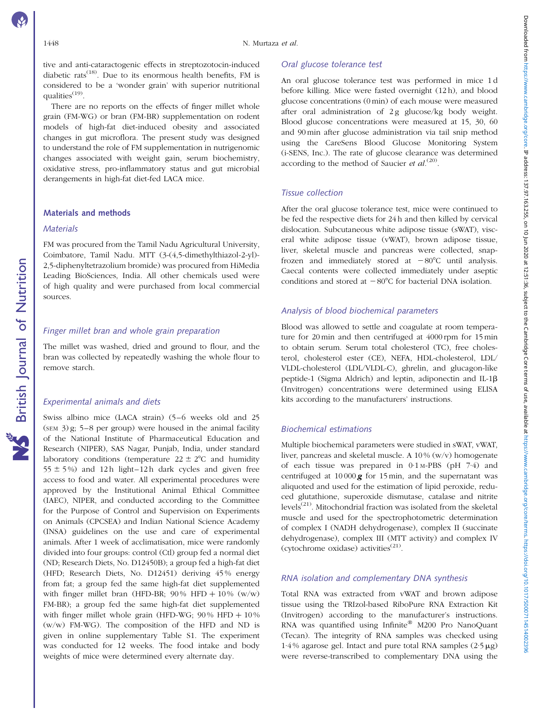tive and anti-cataractogenic effects in streptozotocin-induced diabetic rats<sup> $(18)$ </sup>. Due to its enormous health benefits, FM is considered to be a 'wonder grain' with superior nutritional qualities<sup>(19)</sup>.

There are no reports on the effects of finger millet whole grain (FM-WG) or bran (FM-BR) supplementation on rodent models of high-fat diet-induced obesity and associated changes in gut microflora. The present study was designed to understand the role of FM supplementation in nutrigenomic changes associated with weight gain, serum biochemistry, oxidative stress, pro-inflammatory status and gut microbial derangements in high-fat diet-fed LACA mice.

#### Materials and methods

#### **Materials**

British Journal of Nutrition

**NS** British Journal of Nutrition

FM was procured from the Tamil Nadu Agricultural University, Coimbatore, Tamil Nadu. MTT (3-(4,5-dimethylthiazol-2-yl)- 2,5-diphenyltetrazolium bromide) was procured from HiMedia Leading BioSciences, India. All other chemicals used were of high quality and were purchased from local commercial sources.

# Finger millet bran and whole grain preparation

The millet was washed, dried and ground to flour, and the bran was collected by repeatedly washing the whole flour to remove starch.

# Experimental animals and diets

Swiss albino mice (LACA strain) (5–6 weeks old and 25  $(\text{SEM } 3)$  g; 5–8 per group) were housed in the animal facility of the National Institute of Pharmaceutical Education and Research (NIPER), SAS Nagar, Punjab, India, under standard laboratory conditions (temperature  $22 \pm 2^{\circ}C$  and humidity  $55 \pm 5\%$ ) and 12 h light–12 h dark cycles and given free access to food and water. All experimental procedures were approved by the Institutional Animal Ethical Committee (IAEC), NIPER, and conducted according to the Committee for the Purpose of Control and Supervision on Experiments on Animals (CPCSEA) and Indian National Science Academy (INSA) guidelines on the use and care of experimental animals. After 1 week of acclimatisation, mice were randomly divided into four groups: control (Ctl) group fed a normal diet (ND; Research Diets, No. D12450B); a group fed a high-fat diet (HFD; Research Diets, No. D12451) deriving 45 % energy from fat; a group fed the same high-fat diet supplemented with finger millet bran (HFD-BR;  $90\%$  HFD +  $10\%$  (w/w) FM-BR); a group fed the same high-fat diet supplemented with finger millet whole grain (HFD-WG;  $90\%$  HFD  $+10\%$ (w/w) FM-WG). The composition of the HFD and ND is given in online supplementary Table S1. The experiment was conducted for 12 weeks. The food intake and body weights of mice were determined every alternate day.

#### Oral glucose tolerance test

An oral glucose tolerance test was performed in mice 1 d before killing. Mice were fasted overnight (12 h), and blood glucose concentrations (0 min) of each mouse were measured after oral administration of 2g glucose/kg body weight. Blood glucose concentrations were measured at 15, 30, 60 and 90 min after glucose administration via tail snip method using the CareSens Blood Glucose Monitoring System (i-SENS, Inc.). The rate of glucose clearance was determined according to the method of Saucier et  $al^{(20)}$ .

# Tissue collection

After the oral glucose tolerance test, mice were continued to be fed the respective diets for 24 h and then killed by cervical dislocation. Subcutaneous white adipose tissue (sWAT), visceral white adipose tissue (vWAT), brown adipose tissue, liver, skeletal muscle and pancreas were collected, snapfrozen and immediately stored at  $-80^{\circ}$ C until analysis. Caecal contents were collected immediately under aseptic conditions and stored at  $-80^{\circ}$ C for bacterial DNA isolation.

## Analysis of blood biochemical parameters

Blood was allowed to settle and coagulate at room temperature for 20 min and then centrifuged at 4000 rpm for 15 min to obtain serum. Serum total cholesterol (TC), free cholesterol, cholesterol ester (CE), NEFA, HDL-cholesterol, LDL/ VLDL-cholesterol (LDL/VLDL-C), ghrelin, and glucagon-like peptide-1 (Sigma Aldrich) and leptin, adiponectin and IL-1b (Invitrogen) concentrations were determined using ELISA kits according to the manufacturers' instructions.

#### Biochemical estimations

Multiple biochemical parameters were studied in sWAT, vWAT, liver, pancreas and skeletal muscle. A  $10\%$  (w/v) homogenate of each tissue was prepared in 0·1 M-PBS (pH 7·4) and centrifuged at 10 000 *g* for 15 min, and the supernatant was aliquoted and used for the estimation of lipid peroxide, reduced glutathione, superoxide dismutase, catalase and nitrite levels<sup>(21)</sup>. Mitochondrial fraction was isolated from the skeletal muscle and used for the spectrophotometric determination of complex I (NADH dehydrogenase), complex II (succinate dehydrogenase), complex III (MTT activity) and complex IV (cytochrome oxidase) activities<sup> $(21)$ </sup>.

# RNA isolation and complementary DNA synthesis

Total RNA was extracted from vWAT and brown adipose tissue using the TRIzol-based RiboPure RNA Extraction Kit (Invitrogen) according to the manufacturer's instructions. RNA was quantified using  $Infinite^@$  M200 Pro NanoQuant (Tecan). The integrity of RNA samples was checked using 1.4% agarose gel. Intact and pure total RNA samples  $(2.5 \mu g)$ were reverse-transcribed to complementary DNA using the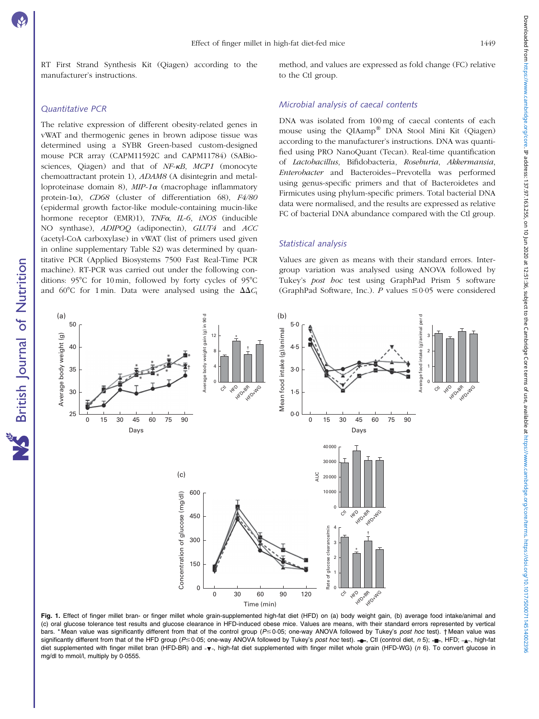<span id="page-2-0"></span>RT First Strand Synthesis Kit (Qiagen) according to the manufacturer's instructions.

## Quantitative PCR

The relative expression of different obesity-related genes in vWAT and thermogenic genes in brown adipose tissue was determined using a SYBR Green-based custom-designed mouse PCR array (CAPM11592C and CAPM11784) (SABiosciences, Qiagen) and that of  $NF$ - $\kappa B$ ,  $MCP1$  (monocyte chemoattractant protein 1), ADAM8 (A disintegrin and metalloproteinase domain 8),  $MIP-1\alpha$  (macrophage inflammatory protein-1 $\alpha$ ), CD68 (cluster of differentiation 68), F4/80 (epidermal growth factor-like module-containing mucin-like hormone receptor  $(EMR)1$ ),  $TNF\alpha$ ,  $IL-6$ ,  $iNOS$  (inducible NO synthase), ADIPOQ (adiponectin), GLUT4 and ACC (acetyl-CoA carboxylase) in vWAT (list of primers used given in online supplementary Table S2) was determined by quantitative PCR (Applied Biosystems 7500 Fast Real-Time PCR machine). RT-PCR was carried out under the following conditions:  $95^{\circ}$ C for 10 min, followed by forty cycles of  $95^{\circ}$ C and 60°C for 1 min. Data were analysed using the  $\Delta\Delta C_{\rm t}$  method, and values are expressed as fold change (FC) relative to the Ctl group.

#### Microbial analysis of caecal contents

DNA was isolated from 100 mg of caecal contents of each mouse using the QIAamp® DNA Stool Mini Kit (Qiagen) according to the manufacturer's instructions. DNA was quantified using PRO NanoQuant (Tecan). Real-time quantification of Lactobacillus, Bifidobacteria, Roseburia, Akkermansia, Enterobacter and Bacteroides–Prevotella was performed using genus-specific primers and that of Bacteroidetes and Firmicutes using phylum-specific primers. Total bacterial DNA data were normalised, and the results are expressed as relative FC of bacterial DNA abundance compared with the Ctl group.

#### Statistical analysis

Values are given as means with their standard errors. Intergroup variation was analysed using ANOVA followed by Tukey's post hoc test using GraphPad Prism 5 software (GraphPad Software, Inc.). P values  $\leq 0.05$  were considered



Fig. 1. Effect of finger millet bran- or finger millet whole grain-supplemented high-fat diet (HFD) on (a) body weight gain, (b) average food intake/animal and (c) oral glucose tolerance test results and glucose clearance in HFD-induced obese mice. Values are means, with their standard errors represented by vertical bars. \* Mean value was significantly different from that of the control group (P ≤ 0·05; one-way ANOVA followed by Tukey's post hoc test). † Mean value was significantly different from that of the HFD group ( $P \le 0.05$ ; one-way ANOVA followed by Tukey's post hoc test).  $\rightarrow$  Ctl (control diet, n 5);  $\rightarrow$ , HFD;  $\rightarrow$ , high-fat diet supplemented with finger millet bran (HFD-BR) and -v-, high-fat diet supplemented with finger millet whole grain (HFD-WG) (n 6). To convert glucose in mg/dl to mmol/l, multiply by 0·0555.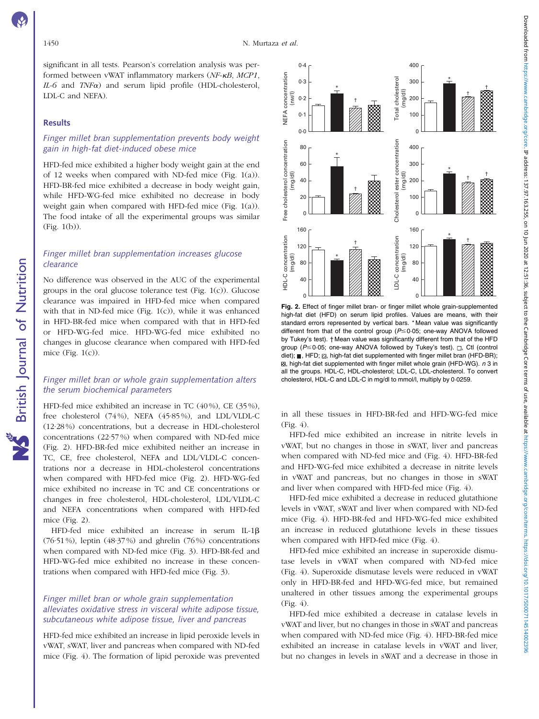Downloaded from https://www.cambridge.org/core. IP address: 137,97.163.255, on 10 Jun 2020 at 12:51:36, subject to the Cambridge Core terms of use, available at https://www.cambridge.org/core/terms of use. 1979711451401411 Downloaded from https://www.cambrige.org/core. IP address: 137.97.163.255, on 10 Jun 2020 at 12:51:36, subject to the Cambridge Core terms of use, available at https://www.cambridge.org/core/terms https://www.cambridge.org

significant in all tests. Pearson's correlation analysis was performed between vWAT inflammatory markers (NF-kB, MCP1,  $IL-6$  and  $TNF\alpha$ ) and serum lipid profile (HDL-cholesterol, LDL-C and NEFA).

#### Results

# Finger millet bran supplementation prevents body weight gain in high-fat diet-induced obese mice

HFD-fed mice exhibited a higher body weight gain at the end of 12 weeks when compared with ND-fed mice ([Fig. 1\(a\)](#page-2-0)). HFD-BR-fed mice exhibited a decrease in body weight gain, while HFD-WG-fed mice exhibited no decrease in body weight gain when compared with HFD-fed mice [\(Fig. 1\(a\)](#page-2-0)). The food intake of all the experimental groups was similar [\(Fig. 1\(b\)](#page-2-0)).

# Finger millet bran supplementation increases glucose clearance

No difference was observed in the AUC of the experimental groups in the oral glucose tolerance test ([Fig. 1\(c\)\)](#page-2-0). Glucose clearance was impaired in HFD-fed mice when compared with that in ND-fed mice ([Fig. 1\(c\)\)](#page-2-0), while it was enhanced in HFD-BR-fed mice when compared with that in HFD-fed or HFD-WG-fed mice. HFD-WG-fed mice exhibited no changes in glucose clearance when compared with HFD-fed mice (Fig.  $1(c)$ ).

# Finger millet bran or whole grain supplementation alters the serum biochemical parameters

HFD-fed mice exhibited an increase in TC (40 %), CE (35 %), free cholesterol (74 %), NEFA (45·85 %), and LDL/VLDL-C (12·28 %) concentrations, but a decrease in HDL-cholesterol concentrations (22·57 %) when compared with ND-fed mice (Fig. 2). HFD-BR-fed mice exhibited neither an increase in TC, CE, free cholesterol, NEFA and LDL/VLDL-C concentrations nor a decrease in HDL-cholesterol concentrations when compared with HFD-fed mice (Fig. 2). HFD-WG-fed mice exhibited no increase in TC and CE concentrations or changes in free cholesterol, HDL-cholesterol, LDL/VLDL-C and NEFA concentrations when compared with HFD-fed mice (Fig. 2).

HFD-fed mice exhibited an increase in serum IL-1 $\beta$  $(76.51\%)$ , leptin  $(48.37\%)$  and ghrelin  $(76\%)$  concentrations when compared with ND-fed mice [\(Fig. 3](#page-4-0)). HFD-BR-fed and HFD-WG-fed mice exhibited no increase in these concentrations when compared with HFD-fed mice ([Fig. 3](#page-4-0)).

# Finger millet bran or whole grain supplementation alleviates oxidative stress in visceral white adipose tissue, subcutaneous white adipose tissue, liver and pancreas

HFD-fed mice exhibited an increase in lipid peroxide levels in vWAT, sWAT, liver and pancreas when compared with ND-fed mice [\(Fig. 4](#page-5-0)). The formation of lipid peroxide was prevented



Fig. 2. Effect of finger millet bran- or finger millet whole grain-supplemented high-fat diet (HFD) on serum lipid profiles. Values are means, with their standard errors represented by vertical bars. \* Mean value was significantly different from that of the control group ( $P \le 0.05$ ; one-way ANOVA followed by Tukey's test). † Mean value was significantly different from that of the HFD group ( $P \le 0.05$ ; one-way ANOVA followed by Tukey's test).  $\Box$ , Ctl (control diet); , HFD;  $\boxtimes$ , high-fat diet supplemented with finger millet bran (HFD-BR);  $\boxtimes$ , high-fat diet supplemented with finger millet whole grain (HFD-WG). n 3 in all the groups. HDL-C, HDL-cholesterol; LDL-C, LDL-cholesterol. To convert cholesterol, HDL-C and LDL-C in mg/dl to mmol/l, multiply by 0·0259.

in all these tissues in HFD-BR-fed and HFD-WG-fed mice [\(Fig. 4\)](#page-5-0).

HFD-fed mice exhibited an increase in nitrite levels in vWAT, but no changes in those in sWAT, liver and pancreas when compared with ND-fed mice and [\(Fig. 4](#page-5-0)). HFD-BR-fed and HFD-WG-fed mice exhibited a decrease in nitrite levels in vWAT and pancreas, but no changes in those in sWAT and liver when compared with HFD-fed mice ([Fig. 4](#page-5-0)).

HFD-fed mice exhibited a decrease in reduced glutathione levels in vWAT, sWAT and liver when compared with ND-fed mice [\(Fig. 4\)](#page-5-0). HFD-BR-fed and HFD-WG-fed mice exhibited an increase in reduced glutathione levels in these tissues when compared with HFD-fed mice [\(Fig. 4\)](#page-5-0).

HFD-fed mice exhibited an increase in superoxide dismutase levels in vWAT when compared with ND-fed mice [\(Fig. 4](#page-5-0)). Superoxide dismutase levels were reduced in vWAT only in HFD-BR-fed and HFD-WG-fed mice, but remained unaltered in other tissues among the experimental groups  $(Fi\varrho, 4)$ .

HFD-fed mice exhibited a decrease in catalase levels in vWAT and liver, but no changes in those in sWAT and pancreas when compared with ND-fed mice ([Fig. 4](#page-5-0)). HFD-BR-fed mice exhibited an increase in catalase levels in vWAT and liver, but no changes in levels in sWAT and a decrease in those in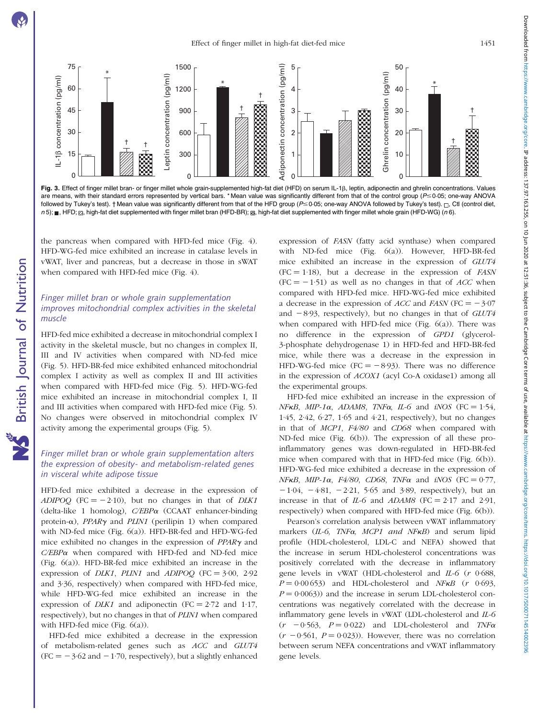**NS** British Journal of Nutrition



<span id="page-4-0"></span>

Fig. 3. Effect of finger millet bran- or finger millet whole grain-supplemented high-fat diet (HFD) on serum IL-1 $\beta$ , leptin, adiponectin and ghrelin concentrations. Values are means, with their standard errors represented by vertical bars. \* Mean value was significantly different from that of the control group ( $P \leq 0.05$ ; one-way ANOVA followed by Tukey's test). † Mean value was significantly different from that of the HFD group ( $P \le 0.05$ ; one-way ANOVA followed by Tukey's test).  $\Box$ , Ctl (control diet, n 5); , HFD; Z, high-fat diet supplemented with finger millet bran (HFD-BR); g, high-fat diet supplemented with finger millet whole grain (HFD-WG) (n 6).

the pancreas when compared with HFD-fed mice ([Fig. 4\)](#page-5-0). HFD-WG-fed mice exhibited an increase in catalase levels in vWAT, liver and pancreas, but a decrease in those in sWAT when compared with HFD-fed mice ([Fig. 4](#page-5-0)).

# Finger millet bran or whole grain supplementation improves mitochondrial complex activities in the skeletal muscle

HFD-fed mice exhibited a decrease in mitochondrial complex I activity in the skeletal muscle, but no changes in complex II, III and IV activities when compared with ND-fed mice ([Fig. 5](#page-6-0)). HFD-BR-fed mice exhibited enhanced mitochondrial complex I activity as well as complex II and III activities when compared with HFD-fed mice [\(Fig. 5](#page-6-0)). HFD-WG-fed mice exhibited an increase in mitochondrial complex I, II and III activities when compared with HFD-fed mice [\(Fig. 5\)](#page-6-0). No changes were observed in mitochondrial complex IV activity among the experimental groups ([Fig. 5](#page-6-0)).

# Finger millet bran or whole grain supplementation alters the expression of obesity- and metabolism-related genes in visceral white adipose tissue

HFD-fed mice exhibited a decrease in the expression of ADIPOQ (FC =  $-2.10$ ), but no changes in that of DLK1 (delta-like 1 homolog), C/EBP<sup>a</sup> (CCAAT enhancer-binding protein- $\alpha$ ), *PPAR* $\gamma$  and *PLIN1* (perilipin 1) when compared with ND-fed mice ([Fig. 6\(a\)\)](#page-7-0). HFD-BR-fed and HFD-WG-fed mice exhibited no changes in the expression of  $PPARv$  and  $C/EBP\alpha$  when compared with HFD-fed and ND-fed mice ([Fig. 6\(a\)\)](#page-7-0). HFD-BR-fed mice exhibited an increase in the expression of *DLK1*, *PLIN1* and *ADIPOO* (FC =  $3.00$ ,  $2.92$ ) and 3·36, respectively) when compared with HFD-fed mice, while HFD-WG-fed mice exhibited an increase in the expression of *DLK1* and adiponectin (FC =  $2.72$  and 1.17, respectively), but no changes in that of PLIN1 when compared with HFD-fed mice [\(Fig. 6\(a\)\)](#page-7-0).

HFD-fed mice exhibited a decrease in the expression of metabolism-related genes such as ACC and GLUT4  $(FC = -3.62$  and  $-1.70$ , respectively), but a slightly enhanced

expression of FASN (fatty acid synthase) when compared with ND-fed mice ([Fig. 6\(a\)\)](#page-7-0). However, HFD-BR-fed mice exhibited an increase in the expression of GLUT4  $(FC = 1.18)$ , but a decrease in the expression of *FASN*  $(FC = -1.51)$  as well as no changes in that of *ACC* when compared with HFD-fed mice. HFD-WG-fed mice exhibited a decrease in the expression of *ACC* and *FASN* (FC =  $-3.07$ and  $-8.93$ , respectively), but no changes in that of  $GLUT4$ when compared with HFD-fed mice [\(Fig. 6\(a\)\)](#page-7-0). There was no difference in the expression of GPD1 (glycerol-3-phosphate dehydrogenase 1) in HFD-fed and HFD-BR-fed mice, while there was a decrease in the expression in HFD-WG-fed mice (FC =  $-8.93$ ). There was no difference in the expression of ACOX1 (acyl Co-A oxidase1) among all the experimental groups.

HFD-fed mice exhibited an increase in the expression of  $NFKB$ ,  $MIP-1\alpha$ ,  $ADAM8$ ,  $TNF\alpha$ ,  $IL-6$  and  $iNOS$  (FC = 1.54, 1·45, 2·42, 6·27, 1·65 and 4·21, respectively), but no changes in that of MCP1, F4/80 and CD68 when compared with ND-fed mice ([Fig. 6\(b\)\)](#page-7-0). The expression of all these proinflammatory genes was down-regulated in HFD-BR-fed mice when compared with that in HFD-fed mice [\(Fig. 6\(b\)\)](#page-7-0). HFD-WG-fed mice exhibited a decrease in the expression of NFKB, MIP-1 $\alpha$ , F4/80, CD68, TNF $\alpha$  and iNOS (FC = 0.77,  $-1.04$ ,  $-4.81$ ,  $-2.21$ ,  $5.65$  and  $3.89$ , respectively), but an increase in that of IL-6 and ADAM8 (FC =  $2.17$  and  $2.91$ , respectively) when compared with HFD-fed mice ([Fig. 6\(b\)\)](#page-7-0).

Pearson's correlation analysis between vWAT inflammatory markers  $(II-6, TNF\alpha, MCP1 and NF\kappa B)$  and serum lipid profile (HDL-cholesterol, LDL-C and NEFA) showed that the increase in serum HDL-cholesterol concentrations was positively correlated with the decrease in inflammatory gene levels in vWAT (HDL-cholesterol and IL-6 (r 0·688,  $P = 0.00653$ ) and HDL-cholesterol and NFKB (r 0.693,  $P = 0.0063$ ) and the increase in serum LDL-cholesterol concentrations was negatively correlated with the decrease in inflammatory gene levels in vWAT (LDL-cholesterol and IL-6  $(r - 0.563, P = 0.022)$  and LDL-cholesterol and TNF $\alpha$  $(r - 0.561, P = 0.023)$ . However, there was no correlation between serum NEFA concentrations and vWAT inflammatory gene levels.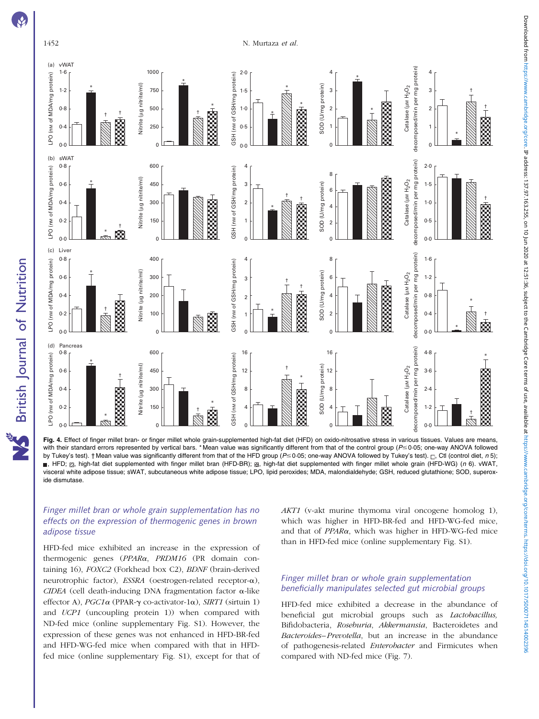

<span id="page-5-0"></span>

Fig. 4. Effect of finger millet bran- or finger millet whole grain-supplemented high-fat diet (HFD) on oxido-nitrosative stress in various tissues. Values are means, with their standard errors represented by vertical bars. \*Mean value was significantly different from that of the control group ( $P \le 0.05$ ; one-way ANOVA followed by Tukey's test). † Mean value was significantly different from that of the HFD group (P ≤ 0·05; one-way ANOVA followed by Tukey's test).  $\Box$ , Ctl (control diet, n 5); n, HFD;  $\mathbb Z$ , high-fat diet supplemented with finger millet bran (HFD-BR);  $\mathbb Z$ , high-fat diet supplemented with finger millet whole grain (HFD-WG) (n 6). vWAT, visceral white adipose tissue; sWAT, subcutaneous white adipose tissue; LPO, lipid peroxides; MDA, malondialdehyde; GSH, reduced glutathione; SOD, superoxide dismutase.

# Finger millet bran or whole grain supplementation has no effects on the expression of thermogenic genes in brown adipose tissue

HFD-fed mice exhibited an increase in the expression of thermogenic genes (PPARa, PRDM16 (PR domain containing 16), FOXC2 (Forkhead box C2), BDNF (brain-derived neurotrophic factor), ESSRA (oestrogen-related receptor-a),  $CIDEA$  (cell death-inducing DNA fragmentation factor  $\alpha$ -like effector A), PGC1 $\alpha$  (PPAR- $\gamma$  co-activator-1 $\alpha$ ), SIRT1 (sirtuin 1) and UCP1 (uncoupling protein 1)) when compared with ND-fed mice (online supplementary Fig. S1). However, the expression of these genes was not enhanced in HFD-BR-fed and HFD-WG-fed mice when compared with that in HFDfed mice (online supplementary Fig. S1), except for that of AKT1 (v-akt murine thymoma viral oncogene homolog 1), which was higher in HFD-BR-fed and HFD-WG-fed mice, and that of PPARa, which was higher in HFD-WG-fed mice than in HFD-fed mice (online supplementary Fig. S1).

# Finger millet bran or whole grain supplementation beneficially manipulates selected gut microbial groups

HFD-fed mice exhibited a decrease in the abundance of beneficial gut microbial groups such as Lactobacillus, Bifidobacteria, Roseburia, Akkermansia, Bacteroidetes and Bacteroides–Prevotella, but an increase in the abundance of pathogenesis-related Enterobacter and Firmicutes when compared with ND-fed mice [\(Fig. 7](#page-8-0)).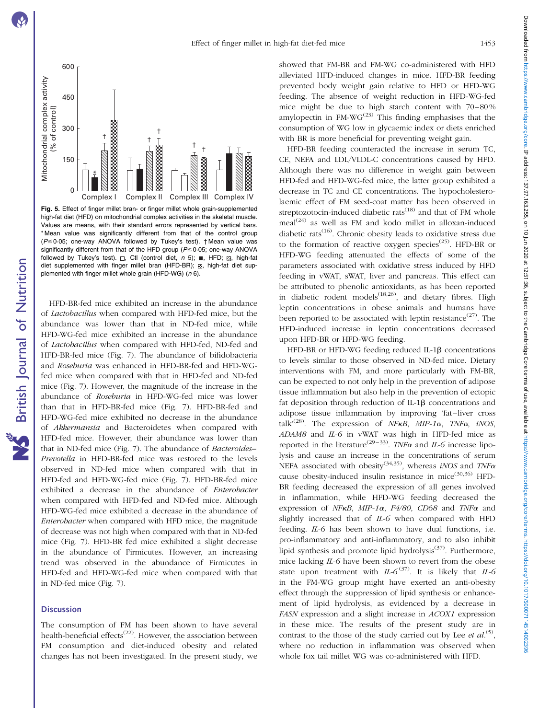**NS** British Journal of Nutrition

<span id="page-6-0"></span>

Fig. 5. Effect of finger millet bran- or finger millet whole grain-supplemented high-fat diet (HFD) on mitochondrial complex activities in the skeletal muscle. Values are means, with their standard errors represented by vertical bars. \* Mean value was significantly different from that of the control group ( $P \le 0.05$ ; one-way ANOVA followed by Tukey's test).  $\dagger$  Mean value was significantly different from that of the HFD group ( $P \le 0.05$ ; one-way ANOVA followed by Tukey's test).  $\Box$ , Ctl (control diet,  $n$  5); , HFD;  $\boxtimes$ , high-fat diet supplemented with finger millet bran (HFD-BR); a, high-fat diet supplemented with finger millet whole grain (HFD-WG) (n 6).

HFD-BR-fed mice exhibited an increase in the abundance of Lactobacillus when compared with HFD-fed mice, but the abundance was lower than that in ND-fed mice, while HFD-WG-fed mice exhibited an increase in the abundance of Lactobacillus when compared with HFD-fed, ND-fed and HFD-BR-fed mice [\(Fig. 7\)](#page-8-0). The abundance of bifidobacteria and Roseburia was enhanced in HFD-BR-fed and HFD-WGfed mice when compared with that in HFD-fed and ND-fed mice [\(Fig. 7\)](#page-8-0). However, the magnitude of the increase in the abundance of Roseburia in HFD-WG-fed mice was lower than that in HFD-BR-fed mice ([Fig. 7\)](#page-8-0). HFD-BR-fed and HFD-WG-fed mice exhibited no decrease in the abundance of Akkermansia and Bacteroidetes when compared with HFD-fed mice. However, their abundance was lower than that in ND-fed mice [\(Fig. 7\)](#page-8-0). The abundance of Bacteroides-Prevotella in HFD-BR-fed mice was restored to the levels observed in ND-fed mice when compared with that in HFD-fed and HFD-WG-fed mice [\(Fig. 7](#page-8-0)). HFD-BR-fed mice exhibited a decrease in the abundance of Enterobacter when compared with HFD-fed and ND-fed mice. Although HFD-WG-fed mice exhibited a decrease in the abundance of Enterobacter when compared with HFD mice, the magnitude of decrease was not high when compared with that in ND-fed mice [\(Fig. 7\)](#page-8-0). HFD-BR fed mice exhibited a slight decrease in the abundance of Firmicutes. However, an increasing trend was observed in the abundance of Firmicutes in HFD-fed and HFD-WG-fed mice when compared with that in ND-fed mice ([Fig. 7](#page-8-0)).

#### **Discussion**

The consumption of FM has been shown to have several health-beneficial effects<sup> $(22)$ </sup>. However, the association between FM consumption and diet-induced obesity and related changes has not been investigated. In the present study, we

showed that FM-BR and FM-WG co-administered with HFD alleviated HFD-induced changes in mice. HFD-BR feeding prevented body weight gain relative to HFD or HFD-WG feeding. The absence of weight reduction in HFD-WG-fed mice might be due to high starch content with 70–80 % amylopectin in  $FM-WG<sup>(23)</sup>$  This finding emphasises that the consumption of WG low in glycaemic index or diets enriched with BR is more beneficial for preventing weight gain.

HFD-BR feeding counteracted the increase in serum TC, CE, NEFA and LDL/VLDL-C concentrations caused by HFD. Although there was no difference in weight gain between HFD-fed and HFD-WG-fed mice, the latter group exhibited a decrease in TC and CE concentrations. The hypocholesterolaemic effect of FM seed-coat matter has been observed in streptozotocin-induced diabetic rats<sup> $(18)$ </sup> and that of FM whole  $\text{meal}^{(24)}$  as well as FM and kodo millet in alloxan-induced diabetic rats<sup>(16)</sup>. Chronic obesity leads to oxidative stress due to the formation of reactive oxygen species<sup>(25)</sup>. HFD-BR or HFD-WG feeding attenuated the effects of some of the parameters associated with oxidative stress induced by HFD feeding in vWAT, sWAT, liver and pancreas. This effect can be attributed to phenolic antioxidants, as has been reported in diabetic rodent models<sup> $(18,26)$ </sup>, and dietary fibres. High leptin concentrations in obese animals and humans have been reported to be associated with leptin resistance<sup> $(27)$ </sup>. The HFD-induced increase in leptin concentrations decreased upon HFD-BR or HFD-WG feeding.

HFD-BR or HFD-WG feeding reduced IL-18 concentrations to levels similar to those observed in ND-fed mice. Dietary interventions with FM, and more particularly with FM-BR, can be expected to not only help in the prevention of adipose tissue inflammation but also help in the prevention of ectopic fat deposition through reduction of IL-1 $\beta$  concentrations and adipose tissue inflammation by improving 'fat–liver cross talk<sup> $(28)$ </sup>. The expression of NFKB, MIP-1 $\alpha$ , TNF $\alpha$ , iNOS, ADAM8 and IL-6 in vWAT was high in HFD-fed mice as reported in the literature<sup>(29–33)</sup>. TNF $\alpha$  and IL-6 increase lipolysis and cause an increase in the concentrations of serum NEFA associated with obesity<sup>(34,35)</sup>, whereas *iNOS* and  $TNF\alpha$ cause obesity-induced insulin resistance in mice<sup> $(30,36)$ </sup> HFD-BR feeding decreased the expression of all genes involved in inflammation, while HFD-WG feeding decreased the expression of NFKB, MIP-1 $\alpha$ , F4/80, CD68 and TNF $\alpha$  and slightly increased that of IL-6 when compared with HFD feeding. IL-6 has been shown to have dual functions, i.e. pro-inflammatory and anti-inflammatory, and to also inhibit lipid synthesis and promote lipid hydrolysis<sup>(37)</sup>. Furthermore, mice lacking IL-6 have been shown to revert from the obese state upon treatment with  $IL-6^{(37)}$ . It is likely that  $IL-6$ in the FM-WG group might have exerted an anti-obesity effect through the suppression of lipid synthesis or enhancement of lipid hydrolysis, as evidenced by a decrease in FASN expression and a slight increase in ACOX1 expression in these mice. The results of the present study are in contrast to the those of the study carried out by Lee *et al.*<sup>(5)</sup>, where no reduction in inflammation was observed when whole fox tail millet WG was co-administered with HFD.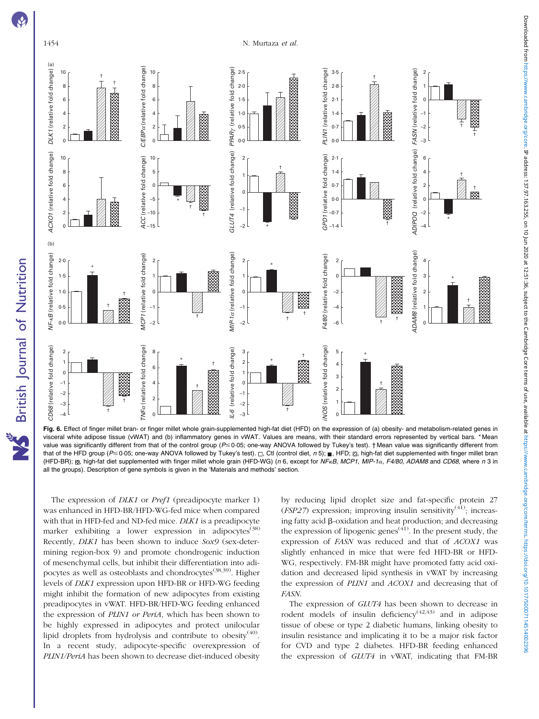<span id="page-7-0"></span>

The expression of *DLK1* or *Pref1* (preadipocyte marker 1) was enhanced in HFD-BR/HFD-WG-fed mice when compared with that in HFD-fed and ND-fed mice. DLK1 is a preadipocyte marker exhibiting a lower expression in adipocytes<sup>(38)</sup> Recently, DLK1 has been shown to induce Sox9 (sex-determining region-box 9) and promote chondrogenic induction of mesenchymal cells, but inhibit their differentiation into adipocytes as well as osteoblasts and chondrocytes<sup>(38,39)</sup>. Higher levels of DLK1 expression upon HFD-BR or HFD-WG feeding might inhibit the formation of new adipocytes from existing preadipocytes in vWAT. HFD-BR/HFD-WG feeding enhanced the expression of PLIN1 or PeriA, which has been shown to be highly expressed in adipocytes and protect unilocular lipid droplets from hydrolysis and contribute to obesity<sup>(40)</sup>. In a recent study, adipocyte-specific overexpression of PLIN1/PeriA has been shown to decrease diet-induced obesity

by reducing lipid droplet size and fat-specific protein 27 ( $FSP27$ ) expression; improving insulin sensitivity<sup>(41)</sup>; increasing fatty acid  $\beta$ -oxidation and heat production; and decreasing the expression of lipogenic genes<sup> $(41)$ </sup>. In the present study, the expression of FASN was reduced and that of ACOX1 was slightly enhanced in mice that were fed HFD-BR or HFD-WG, respectively. FM-BR might have promoted fatty acid oxidation and decreased lipid synthesis in vWAT by increasing the expression of PLIN1 and ACOX1 and decreasing that of FASN.

The expression of GLUT4 has been shown to decrease in rodent models of insulin deficiency $(42, 43)$  and in adipose tissue of obese or type 2 diabetic humans, linking obesity to insulin resistance and implicating it to be a major risk factor for CVD and type 2 diabetes. HFD-BR feeding enhanced the expression of GLUT4 in vWAT, indicating that FM-BR

British Journal of Nutrition

†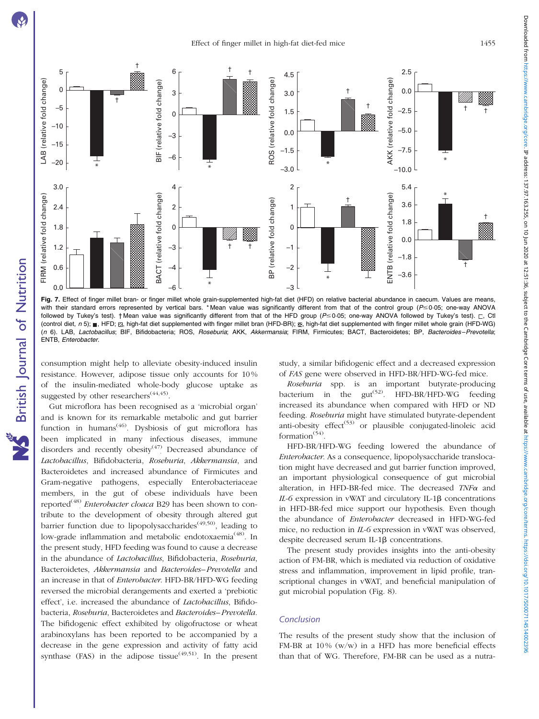<span id="page-8-0"></span>



Fig. 7. Effect of finger millet bran- or finger millet whole grain-supplemented high-fat diet (HFD) on relative bacterial abundance in caecum. Values are means, with their standard errors represented by vertical bars. \* Mean value was significantly different from that of the control group (P ≤ 0.05; one-way ANOVA followed by Tukey's test). † Mean value was significantly different from that of the HFD group ( $P \le 0.05$ ; one-way ANOVA followed by Tukey's test).  $\Box$ , Ctl (control diet,  $n 5$ ); . HFD;  $\varnothing$ , high-fat diet supplemented with finger millet bran (HFD-BR);  $\boxtimes$ , high-fat diet supplemented with finger millet whole grain (HFD-WG) (n 6). LAB, Lactobacillus; BIF, Bifidobacteria; ROS, Roseburia; AKK, Akkermansia; FIRM, Firmicutes; BACT, Bacteroidetes; BP, Bacteroides–Prevotella; ENTB, Enterobacter.

consumption might help to alleviate obesity-induced insulin resistance. However, adipose tissue only accounts for 10 % of the insulin-mediated whole-body glucose uptake as suggested by other researchers<sup> $(44,45)$ </sup>.

Gut microflora has been recognised as a 'microbial organ' and is known for its remarkable metabolic and gut barrier function in humans<sup> $(46)$ </sup>. Dysbiosis of gut microflora has been implicated in many infectious diseases, immune disorders and recently obesity<sup>(47)</sup> Decreased abundance of Lactobacillus, Bifidobacteria, Roseburia, Akkermansia, and Bacteroidetes and increased abundance of Firmicutes and Gram-negative pathogens, especially Enterobacteriaceae members, in the gut of obese individuals have been reported<sup>(48)</sup> Enterobacter cloaca B29 has been shown to contribute to the development of obesity through altered gut barrier function due to lipopolysaccharides<sup> $(49,50)$ </sup>, leading to low-grade inflammation and metabolic endotoxaemia<sup>(48)</sup>. In the present study, HFD feeding was found to cause a decrease in the abundance of Lactobacillus, Bifidobacteria, Roseburia, Bacteroidetes, Akkermansia and Bacteroides–Prevotella and an increase in that of *Enterobacter*. HFD-BR/HFD-WG feeding reversed the microbial derangements and exerted a 'prebiotic effect', i.e. increased the abundance of Lactobacillus, Bifidobacteria, Roseburia, Bacteroidetes and Bacteroides–Prevotella. The bifidogenic effect exhibited by oligofructose or wheat arabinoxylans has been reported to be accompanied by a decrease in the gene expression and activity of fatty acid synthase (FAS) in the adipose tissue<sup> $(49,51)$ </sup>. In the present study, a similar bifidogenic effect and a decreased expression of FAS gene were observed in HFD-BR/HFD-WG-fed mice.

Roseburia spp. is an important butyrate-producing bacterium in the  $gut^{(52)}$ . HFD-BR/HFD-WG feeding increased its abundance when compared with HFD or ND feeding. Roseburia might have stimulated butyrate-dependent anti-obesity effect<sup> $(53)$ </sup> or plausible conjugated-linoleic acid formation $(54)$ .

HFD-BR/HFD-WG feeding lowered the abundance of Enterobacter. As a consequence, lipopolysaccharide translocation might have decreased and gut barrier function improved, an important physiological consequence of gut microbial alteration, in HFD-BR-fed mice. The decreased  $TNF\alpha$  and  $IL-6$  expression in vWAT and circulatory IL-1 $\beta$  concentrations in HFD-BR-fed mice support our hypothesis. Even though the abundance of Enterobacter decreased in HFD-WG-fed mice, no reduction in IL-6 expression in vWAT was observed, despite decreased serum IL-1 $\beta$  concentrations.

The present study provides insights into the anti-obesity action of FM-BR, which is mediated via reduction of oxidative stress and inflammation, improvement in lipid profile, transcriptional changes in vWAT, and beneficial manipulation of gut microbial population [\(Fig. 8\)](#page-9-0).

#### Conclusion

The results of the present study show that the inclusion of FM-BR at  $10\%$  (w/w) in a HFD has more beneficial effects than that of WG. Therefore, FM-BR can be used as a nutra-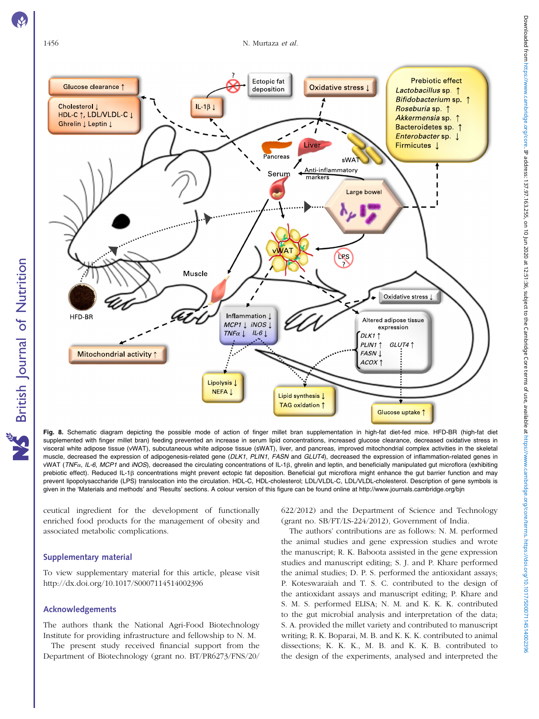**S** British Journal of Nutrition

<span id="page-9-0"></span>

Fig. 8. Schematic diagram depicting the possible mode of action of finger millet bran supplementation in high-fat diet-fed mice. HFD-BR (high-fat diet supplemented with finger millet bran) feeding prevented an increase in serum lipid concentrations, increased glucose clearance, decreased oxidative stress in visceral white adipose tissue (vWAT), subcutaneous white adipose tissue (sWAT), liver, and pancreas, improved mitochondrial complex activities in the skeletal muscle, decreased the expression of adipogenesis-related gene (DLK1, PLIN1, FASN and GLUT4), decreased the expression of inflammation-related genes in vWAT (TNFa, IL-6, MCP1 and iNOS), decreased the circulating concentrations of IL-1 $\beta$ , ghrelin and leptin, and beneficially manipulated gut microflora (exhibiting prebiotic effect). Reduced IL-1ß concentrations might prevent ectopic fat deposition. Beneficial gut microflora might enhance the gut barrier function and may prevent lipopolysaccharide (LPS) translocation into the circulation. HDL-C, HDL-cholesterol; LDL/VLDL-C, LDL/VLDL-cholesterol. Description of gene symbols is given in the 'Materials and methods' and 'Results' sections. A colour version of this figure can be found online at http://www.journals.cambridge.org/bjn

ceutical ingredient for the development of functionally enriched food products for the management of obesity and associated metabolic complications.

#### Supplementary material

To view supplementary material for this article, please visit http://dx.doi.org/10.1017/S0007114514002396

#### Acknowledgements

The authors thank the National Agri-Food Biotechnology Institute for providing infrastructure and fellowship to N. M.

The present study received financial support from the Department of Biotechnology (grant no. BT/PR6273/FNS/20/ 622/2012) and the Department of Science and Technology (grant no. SB/FT/LS-224/2012), Government of India.

The authors' contributions are as follows: N. M. performed the animal studies and gene expression studies and wrote the manuscript; R. K. Baboota assisted in the gene expression studies and manuscript editing; S. J. and P. Khare performed the animal studies; D. P. S. performed the antioxidant assays; P. Koteswaraiah and T. S. C. contributed to the design of the antioxidant assays and manuscript editing; P. Khare and S. M. S. performed ELISA; N. M. and K. K. K. contributed to the gut microbial analysis and interpretation of the data; S. A. provided the millet variety and contributed to manuscript writing; R. K. Boparai, M. B. and K. K. K. contributed to animal dissections; K. K. K., M. B. and K. K. B. contributed to the design of the experiments, analysed and interpreted the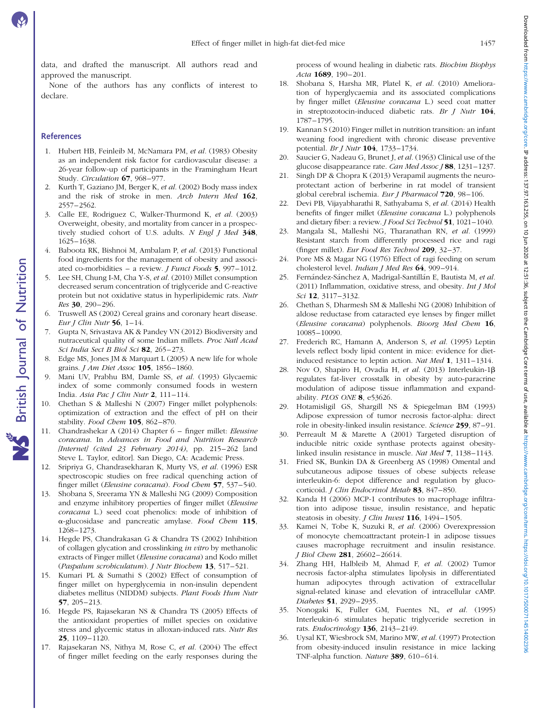data, and drafted the manuscript. All authors read and approved the manuscript.

None of the authors has any conflicts of interest to declare.

#### **References**

- 1. Hubert HB, Feinleib M, McNamara PM, et al. (1983) Obesity as an independent risk factor for cardiovascular disease: a 26-year follow-up of participants in the Framingham Heart Study. Circulation 67, 968–977.
- 2. Kurth T, Gaziano JM, Berger K, et al. (2002) Body mass index and the risk of stroke in men. Arch Intern Med 162, 2557–2562.
- 3. Calle EE, Rodriguez C, Walker-Thurmond K, et al. (2003) Overweight, obesity, and mortality from cancer in a prospectively studied cohort of U.S. adults. N Engl J Med 348, 1625–1638.
- 4. Baboota RK, Bishnoi M, Ambalam P, et al. (2013) Functional food ingredients for the management of obesity and associated co-morbidities – a review. J Funct Foods 5, 997–1012.
- 5. Lee SH, Chung I-M, Cha Y-S, et al. (2010) Millet consumption decreased serum concentration of triglyceride and C-reactive protein but not oxidative status in hyperlipidemic rats. Nutr Res 30, 290–296.
- 6. Truswell AS (2002) Cereal grains and coronary heart disease. Eur J Clin Nutr  $56$ , 1-14.
- 7. Gupta N, Srivastava AK & Pandey VN (2012) Biodiversity and nutraceutical quality of some Indian millets. Proc Natl Acad Sci India Sect B Biol Sci 82, 265-273.
- 8. Edge MS, Jones JM & Marquart L (2005) A new life for whole grains. J Am Diet Assoc 105, 1856–1860.
- 9. Mani UV, Prabhu BM, Damle SS, et al. (1993) Glycaemic index of some commonly consumed foods in western India. Asia Pac J Clin Nutr 2, 111–114.
- 10. Chethan S & Malleshi N (2007) Finger millet polyphenols: optimization of extraction and the effect of pH on their stability. Food Chem 105, 862-870.
- 11. Chandrashekar A (2014) Chapter 6 finger millet: Eleusine coracana. In Advances in Food and Nutrition Research [Internet] (cited 23 February 2014), pp. 215-262 [and Steve L. Taylor, editor]. San Diego, CA: Academic Press.
- 12. Sripriya G, Chandrasekharan K, Murty VS, et al. (1996) ESR spectroscopic studies on free radical quenching action of finger millet (Eleusine coracana). Food Chem 57, 537-540.
- 13. Shobana S, Sreerama YN & Malleshi NG (2009) Composition and enzyme inhibitory properties of finger millet (Eleusine coracana L.) seed coat phenolics: mode of inhibition of  $\alpha$ -glucosidase and pancreatic amylase. Food Chem 115, 1268–1273.
- 14. Hegde PS, Chandrakasan G & Chandra TS (2002) Inhibition of collagen glycation and crosslinking in vitro by methanolic extracts of Finger millet (Eleusine coracana) and Kodo millet (Paspalum scrobiculatum). J Nutr Biochem 13, 517–521.
- 15. Kumari PL & Sumathi S (2002) Effect of consumption of finger millet on hyperglycemia in non-insulin dependent diabetes mellitus (NIDDM) subjects. Plant Foods Hum Nutr 57, 205–213.
- 16. Hegde PS, Rajasekaran NS & Chandra TS (2005) Effects of the antioxidant properties of millet species on oxidative stress and glycemic status in alloxan-induced rats. Nutr Res 25, 1109–1120.
- 17. Rajasekaran NS, Nithya M, Rose C, et al. (2004) The effect of finger millet feeding on the early responses during the

process of wound healing in diabetic rats. Biochim Biophys Acta 1689, 190-201.

- 18. Shobana S, Harsha MR, Platel K, et al. (2010) Amelioration of hyperglycaemia and its associated complications by finger millet (Eleusine coracana L.) seed coat matter in streptozotocin-induced diabetic rats. Br  $J$  Nutr  $104$ , 1787–1795.
- 19. Kannan S (2010) Finger millet in nutrition transition: an infant weaning food ingredient with chronic disease preventive potential. Br J Nutr 104, 1733–1734.
- 20. Saucier G, Nadeau G, Brunet J, et al. (1963) Clinical use of the glucose disappearance rate. Can Med Assoc J 88, 1231-1237.
- 21. Singh DP & Chopra K (2013) Verapamil augments the neuroprotectant action of berberine in rat model of transient global cerebral ischemia. Eur J Pharmacol 720, 98–106.
- 22. Devi PB, Vijayabharathi R, Sathyabama S, et al. (2014) Health benefits of finger millet (Eleusine coracana L.) polyphenols and dietary fiber: a review. *J Food Sci Technol* 51, 1021-1040.
- 23. Mangala SL, Malleshi NG, Tharanathan RN, et al. (1999) Resistant starch from differently processed rice and ragi (finger millet). Eur Food Res Technol 209, 32–37.
- 24. Pore MS & Magar NG (1976) Effect of ragi feeding on serum cholesterol level. Indian J Med Res 64, 909-914.
- 25. Fernández-Sánchez A, Madrigal-Santillán E, Bautista M, et al. (2011) Inflammation, oxidative stress, and obesity. Int J Mol Sci 12, 3117–3132.
- 26. Chethan S, Dharmesh SM & Malleshi NG (2008) Inhibition of aldose reductase from cataracted eye lenses by finger millet (Eleusine coracana) polyphenols. Bioorg Med Chem 16, 10085–10090.
- 27. Frederich RC, Hamann A, Anderson S, et al. (1995) Leptin levels reflect body lipid content in mice: evidence for dietinduced resistance to leptin action. Nat Med 1, 1311–1314.
- 28. Nov O, Shapiro H, Ovadia H, et al. (2013) Interleukin-1 $\beta$ regulates fat-liver crosstalk in obesity by auto-paracrine modulation of adipose tissue inflammation and expandability. PLOS ONE 8, e53626.
- 29. Hotamisligil GS, Shargill NS & Spiegelman BM (1993) Adipose expression of tumor necrosis factor-alpha: direct role in obesity-linked insulin resistance. Science 259, 87–91.
- 30. Perreault M & Marette A (2001) Targeted disruption of inducible nitric oxide synthase protects against obesitylinked insulin resistance in muscle. Nat Med 7, 1138–1143.
- 31. Fried SK, Bunkin DA & Greenberg AS (1998) Omental and subcutaneous adipose tissues of obese subjects release interleukin-6: depot difference and regulation by glucocorticoid. J Clin Endocrinol Metab 83, 847-850.
- 32. Kanda H (2006) MCP-1 contributes to macrophage infiltration into adipose tissue, insulin resistance, and hepatic steatosis in obesity. *J Clin Invest* 116, 1494-1505.
- 33. Kamei N, Tobe K, Suzuki R, et al. (2006) Overexpression of monocyte chemoattractant protein-1 in adipose tissues causes macrophage recruitment and insulin resistance. J Biol Chem 281, 26602–26614.
- 34. Zhang HH, Halbleib M, Ahmad F, et al. (2002) Tumor necrosis factor-alpha stimulates lipolysis in differentiated human adipocytes through activation of extracellular signal-related kinase and elevation of intracellular cAMP. Diabetes **51**, 2929-2935.
- 35. Nonogaki K, Fuller GM, Fuentes NL, et al. (1995) Interleukin-6 stimulates hepatic triglyceride secretion in rats. Endocrinology 136, 2143–2149.
- 36. Uysal KT, Wiesbrock SM, Marino MW, et al. (1997) Protection from obesity-induced insulin resistance in mice lacking TNF-alpha function. Nature 389, 610–614.

Downloaded from https://www.cambridge.org/core. IP address: 137.97.163.255, on 10 Jun 2020 at 12:51:36, subject to the Cambridge Core terms of use, available at https://www.cambridge.org/core/terms. https://www.campridge.o Downloaded from https://www.cambridge.org/core. IP address: 137.97,163.255, on 10 Jun 2020 at 12551.36, subject to the Cambridge Core terms of use, available at https://www.cambridge.org/core/terms https://www.cambridge.or